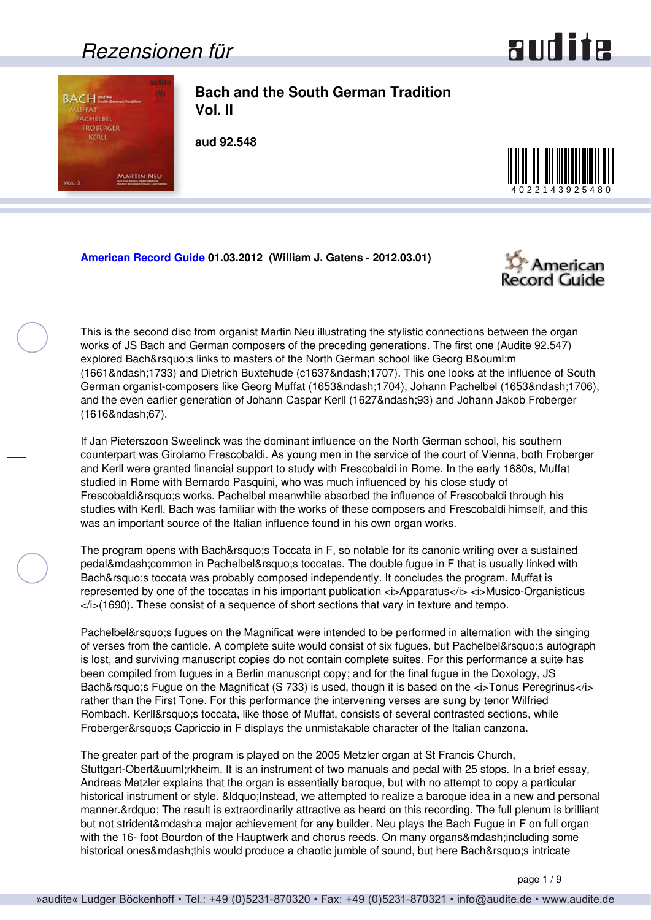### *Rezensionen für*



<span id="page-0-0"></span>

**Bach and the South German Tradition Vol. II**

**aud 92.548**



**[American Record Guide](http://www.americanrecordguide.com) 01.03.2012 (William J. Gatens - 2012.03.01)**



This is the second disc from organist Martin Neu illustrating the stylistic connections between the organ works of JS Bach and German composers of the preceding generations. The first one (Audite 92.547) explored Bach&rsquo: slinks to masters of the North German school like Georg B&ouml: m (1661–1733) and Dietrich Buxtehude (c1637–1707). This one looks at the influence of South German organist-composers like Georg Muffat (1653–1704), Johann Pachelbel (1653–1706), and the even earlier generation of Johann Caspar Kerll (1627–93) and Johann Jakob Froberger (1616–67).

If Jan Pieterszoon Sweelinck was the dominant influence on the North German school, his southern counterpart was Girolamo Frescobaldi. As young men in the service of the court of Vienna, both Froberger and Kerll were granted financial support to study with Frescobaldi in Rome. In the early 1680s, Muffat studied in Rome with Bernardo Pasquini, who was much influenced by his close study of Frescobaldi's works. Pachelbel meanwhile absorbed the influence of Frescobaldi through his studies with Kerll. Bach was familiar with the works of these composers and Frescobaldi himself, and this was an important source of the Italian influence found in his own organ works.

The program opens with Bach' SToccata in F, so notable for its canonic writing over a sustained pedal—common in Pachelbel's toccatas. The double fugue in F that is usually linked with Bach's toccata was probably composed independently. It concludes the program. Muffat is represented by one of the toccatas in his important publication  $\langle A \rangle$  *Apparatus*  $\langle A \rangle$  *Apparatus*  $\langle A \rangle$  *Ausico-Organisticus* </i>(1690). These consist of a sequence of short sections that vary in texture and tempo.

Pachelbel's fugues on the Magnificat were intended to be performed in alternation with the singing of verses from the canticle. A complete suite would consist of six fugues, but Pachelbel' sautograph is lost, and surviving manuscript copies do not contain complete suites. For this performance a suite has been compiled from fugues in a Berlin manuscript copy; and for the final fugue in the Doxology, JS Bach' Fugue on the Magnificat (S 733) is used, though it is based on the *<i>*Tonus Peregrinus</i> rather than the First Tone. For this performance the intervening verses are sung by tenor Wilfried Rombach. Kerll&rsquo: stoccata, like those of Muffat, consists of several contrasted sections, while Froberger' SCapriccio in F displays the unmistakable character of the Italian canzona.

The greater part of the program is played on the 2005 Metzler organ at St Francis Church, Stuttgart-Obertürkheim. It is an instrument of two manuals and pedal with 25 stops. In a brief essay, Andreas Metzler explains that the organ is essentially baroque, but with no attempt to copy a particular historical instrument or style. & dquo; Instead, we attempted to realize a baroque idea in a new and personal manner. & rdquo; The result is extraordinarily attractive as heard on this recording. The full plenum is brilliant but not strident—a major achievement for any builder. Neu plays the Bach Fugue in F on full organ with the 16- foot Bourdon of the Hauptwerk and chorus reeds. On many organs— including some historical ones—this would produce a chaotic jumble of sound, but here Bach' sintricate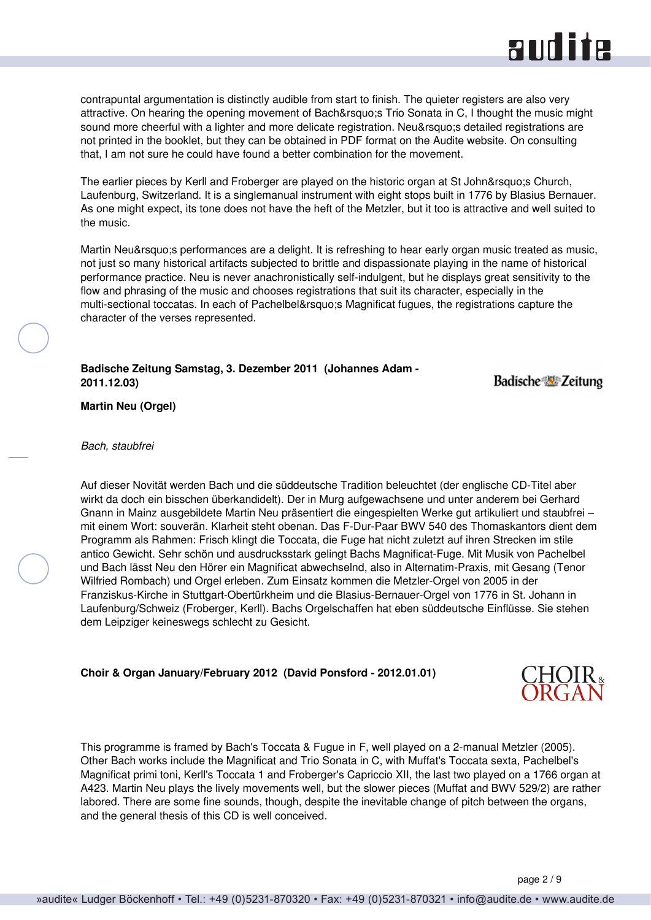# and ite

<span id="page-1-0"></span>contrapuntal argumentation is distinctly audible from start to finish. The quieter registers are also very attractive. On hearing the opening movement of Bach' Trio Sonata in C, I thought the music might sound more cheerful with a lighter and more delicate registration. Neu' sdetailed registrations are not printed in the booklet, but they can be obtained in PDF format on the Audite website. On consulting that, I am not sure he could have found a better combination for the movement.

The earlier pieces by Kerll and Froberger are played on the historic organ at St John's Church, Laufenburg, Switzerland. It is a singlemanual instrument with eight stops built in 1776 by Blasius Bernauer. As one might expect, its tone does not have the heft of the Metzler, but it too is attractive and well suited to the music.

Martin Neu's performances are a delight. It is refreshing to hear early organ music treated as music, not just so many historical artifacts subjected to brittle and dispassionate playing in the name of historical performance practice. Neu is never anachronistically self-indulgent, but he displays great sensitivity to the flow and phrasing of the music and chooses registrations that suit its character, especially in the multi-sectional toccatas. In each of Pachelbel's Magnificat fugues, the registrations capture the character of the verses represented.

**Badische Zeitung Samstag, 3. Dezember 2011 (Johannes Adam - 2011.12.03)**

**Badische Zeitung** 

**Martin Neu (Orgel)**

### *Bach, staubfrei*

Auf dieser Novität werden Bach und die süddeutsche Tradition beleuchtet (der englische CD-Titel aber wirkt da doch ein bisschen überkandidelt). Der in Murg aufgewachsene und unter anderem bei Gerhard Gnann in Mainz ausgebildete Martin Neu präsentiert die eingespielten Werke gut artikuliert und staubfrei – mit einem Wort: souverän. Klarheit steht obenan. Das F-Dur-Paar BWV 540 des Thomaskantors dient dem Programm als Rahmen: Frisch klingt die Toccata, die Fuge hat nicht zuletzt auf ihren Strecken im stile antico Gewicht. Sehr schön und ausdrucksstark gelingt Bachs Magnificat-Fuge. Mit Musik von Pachelbel und Bach lässt Neu den Hörer ein Magnificat abwechselnd, also in Alternatim-Praxis, mit Gesang (Tenor Wilfried Rombach) und Orgel erleben. Zum Einsatz kommen die Metzler-Orgel von 2005 in der Franziskus-Kirche in Stuttgart-Obertürkheim und die Blasius-Bernauer-Orgel von 1776 in St. Johann in Laufenburg/Schweiz (Froberger, Kerll). Bachs Orgelschaffen hat eben süddeutsche Einflüsse. Sie stehen dem Leipziger keineswegs schlecht zu Gesicht.

### **Choir & Organ January/February 2012 (David Ponsford - 2012.01.01)**

This programme is framed by Bach's Toccata & Fugue in F, well played on a 2-manual Metzler (2005). Other Bach works include the Magnificat and Trio Sonata in C, with Muffat's Toccata sexta, Pachelbel's Magnificat primi toni, Kerll's Toccata 1 and Froberger's Capriccio XII, the last two played on a 1766 organ at A423. Martin Neu plays the lively movements well, but the slower pieces (Muffat and BWV 529/2) are rather labored. There are some fine sounds, though, despite the inevitable change of pitch between the organs, and the general thesis of this CD is well conceived.

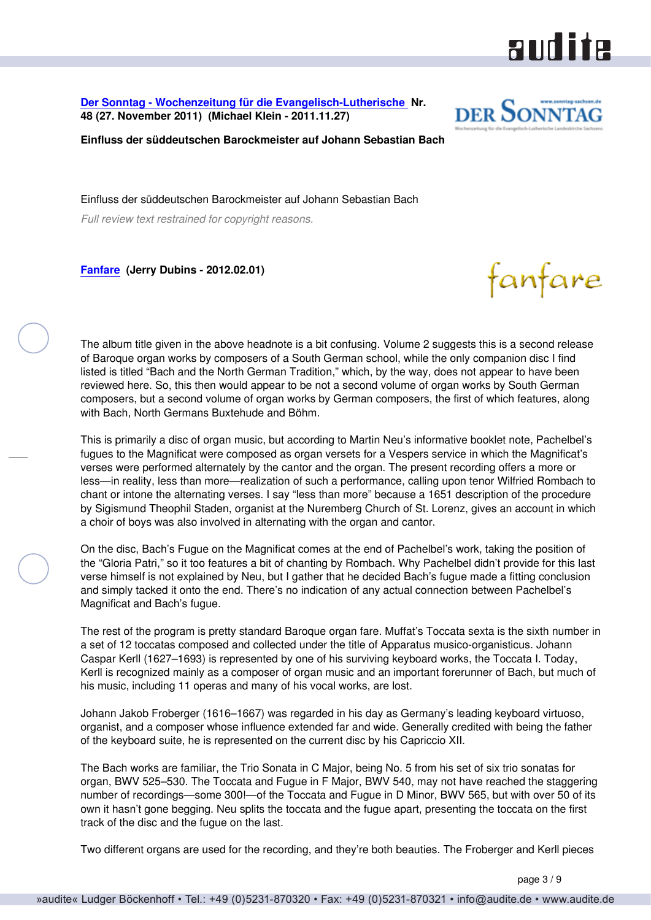<span id="page-2-0"></span>**[Der Sonntag - Wochenzeitung für die Evangelisch-Lutherische](http://www.sonntag-sachsen.de) Nr. 48 (27. November 2011) (Michael Klein - 2011.11.27)**



aud ite

**Einfluss der süddeutschen Barockmeister auf Johann Sebastian Bach**

Einfluss der süddeutschen Barockmeister auf Johann Sebastian Bach

*Full review text restrained for copyright reasons.*

**[Fanfare](http://www.fanfaremag.com/) (Jerry Dubins - 2012.02.01)**

fanfare

The album title given in the above headnote is a bit confusing. Volume 2 suggests this is a second release of Baroque organ works by composers of a South German school, while the only companion disc I find listed is titled "Bach and the North German Tradition," which, by the way, does not appear to have been reviewed here. So, this then would appear to be not a second volume of organ works by South German composers, but a second volume of organ works by German composers, the first of which features, along with Bach, North Germans Buxtehude and Böhm.

This is primarily a disc of organ music, but according to Martin Neu's informative booklet note, Pachelbel's fugues to the Magnificat were composed as organ versets for a Vespers service in which the Magnificat's verses were performed alternately by the cantor and the organ. The present recording offers a more or less—in reality, less than more—realization of such a performance, calling upon tenor Wilfried Rombach to chant or intone the alternating verses. I say "less than more" because a 1651 description of the procedure by Sigismund Theophil Staden, organist at the Nuremberg Church of St. Lorenz, gives an account in which a choir of boys was also involved in alternating with the organ and cantor.

On the disc, Bach's Fugue on the Magnificat comes at the end of Pachelbel's work, taking the position of the "Gloria Patri," so it too features a bit of chanting by Rombach. Why Pachelbel didn't provide for this last verse himself is not explained by Neu, but I gather that he decided Bach's fugue made a fitting conclusion and simply tacked it onto the end. There's no indication of any actual connection between Pachelbel's Magnificat and Bach's fugue.

The rest of the program is pretty standard Baroque organ fare. Muffat's Toccata sexta is the sixth number in a set of 12 toccatas composed and collected under the title of Apparatus musico-organisticus. Johann Caspar Kerll (1627–1693) is represented by one of his surviving keyboard works, the Toccata I. Today, Kerll is recognized mainly as a composer of organ music and an important forerunner of Bach, but much of his music, including 11 operas and many of his vocal works, are lost.

Johann Jakob Froberger (1616–1667) was regarded in his day as Germany's leading keyboard virtuoso, organist, and a composer whose influence extended far and wide. Generally credited with being the father of the keyboard suite, he is represented on the current disc by his Capriccio XII.

The Bach works are familiar, the Trio Sonata in C Major, being No. 5 from his set of six trio sonatas for organ, BWV 525–530. The Toccata and Fugue in F Major, BWV 540, may not have reached the staggering number of recordings—some 300!—of the Toccata and Fugue in D Minor, BWV 565, but with over 50 of its own it hasn't gone begging. Neu splits the toccata and the fugue apart, presenting the toccata on the first track of the disc and the fugue on the last.

Two different organs are used for the recording, and they're both beauties. The Froberger and Kerll pieces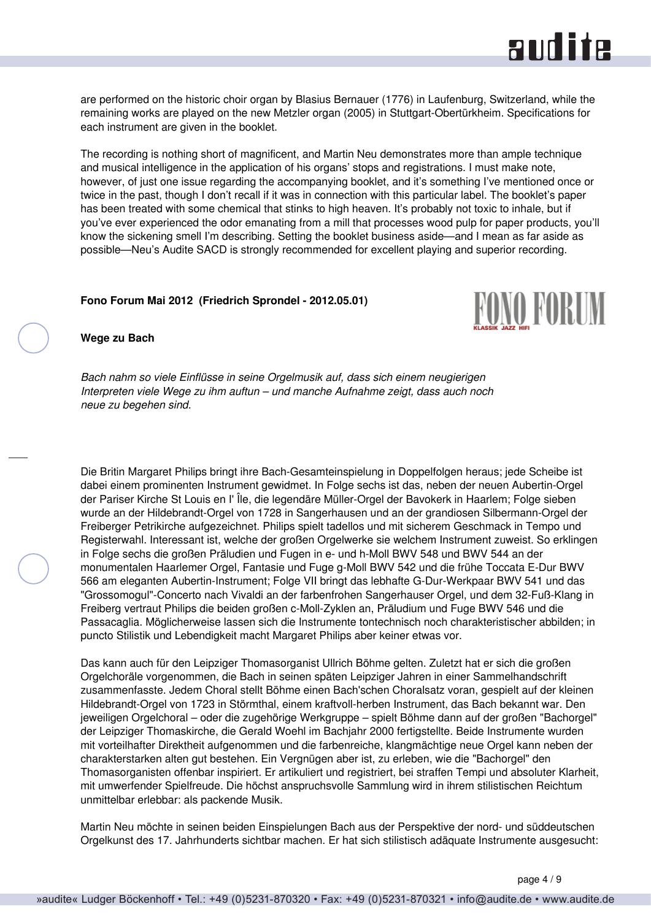# and ite

<span id="page-3-0"></span>are performed on the historic choir organ by Blasius Bernauer (1776) in Laufenburg, Switzerland, while the remaining works are played on the new Metzler organ (2005) in Stuttgart-Obertürkheim. Specifications for each instrument are given in the booklet.

The recording is nothing short of magnificent, and Martin Neu demonstrates more than ample technique and musical intelligence in the application of his organs' stops and registrations. I must make note, however, of just one issue regarding the accompanying booklet, and it's something I've mentioned once or twice in the past, though I don't recall if it was in connection with this particular label. The booklet's paper has been treated with some chemical that stinks to high heaven. It's probably not toxic to inhale, but if you've ever experienced the odor emanating from a mill that processes wood pulp for paper products, you'll know the sickening smell I'm describing. Setting the booklet business aside—and I mean as far aside as possible—Neu's Audite SACD is strongly recommended for excellent playing and superior recording.

#### **Fono Forum Mai 2012 (Friedrich Sprondel - 2012.05.01)**



**Wege zu Bach**

*Bach nahm so viele Einflüsse in seine Orgelmusik auf, dass sich einem neugierigen Interpreten viele Wege zu ihm auftun – und manche Aufnahme zeigt, dass auch noch neue zu begehen sind.*

Die Britin Margaret Philips bringt ihre Bach-Gesamteinspielung in Doppelfolgen heraus; jede Scheibe ist dabei einem prominenten Instrument gewidmet. In Folge sechs ist das, neben der neuen Aubertin-Orgel der Pariser Kirche St Louis en I' Île, die legendäre Müller-Orgel der Bavokerk in Haarlem; Folge sieben wurde an der Hildebrandt-Orgel von 1728 in Sangerhausen und an der grandiosen Silbermann-Orgel der Freiberger Petrikirche aufgezeichnet. Philips spielt tadellos und mit sicherem Geschmack in Tempo und Registerwahl. Interessant ist, welche der großen Orgelwerke sie welchem Instrument zuweist. So erklingen in Folge sechs die großen Präludien und Fugen in e- und h-Moll BWV 548 und BWV 544 an der monumentalen Haarlemer Orgel, Fantasie und Fuge g-Moll BWV 542 und die frühe Toccata E-Dur BWV 566 am eleganten Aubertin-Instrument; Folge VII bringt das lebhafte G-Dur-Werkpaar BWV 541 und das "Grossomogul"-Concerto nach Vivaldi an der farbenfrohen Sangerhauser Orgel, und dem 32-Fuß-Klang in Freiberg vertraut Philips die beiden großen c-Moll-Zyklen an, Präludium und Fuge BWV 546 und die Passacaglia. Möglicherweise lassen sich die Instrumente tontechnisch noch charakteristischer abbilden; in puncto Stilistik und Lebendigkeit macht Margaret Philips aber keiner etwas vor.

Das kann auch für den Leipziger Thomasorganist Ullrich Böhme gelten. Zuletzt hat er sich die großen Orgelchoräle vorgenommen, die Bach in seinen späten Leipziger Jahren in einer Sammelhandschrift zusammenfasste. Jedem Choral stellt Böhme einen Bach'schen Choralsatz voran, gespielt auf der kleinen Hildebrandt-Orgel von 1723 in Störmthal, einem kraftvoll-herben Instrument, das Bach bekannt war. Den jeweiligen Orgelchoral – oder die zugehörige Werkgruppe – spielt Böhme dann auf der großen "Bachorgel" der Leipziger Thomaskirche, die Gerald Woehl im Bachjahr 2000 fertigstellte. Beide Instrumente wurden mit vorteilhafter Direktheit aufgenommen und die farbenreiche, klangmächtige neue Orgel kann neben der charakterstarken alten gut bestehen. Ein Vergnügen aber ist, zu erleben, wie die "Bachorgel" den Thomasorganisten offenbar inspiriert. Er artikuliert und registriert, bei straffen Tempi und absoluter Klarheit, mit umwerfender Spielfreude. Die höchst anspruchsvolle Sammlung wird in ihrem stilistischen Reichtum unmittelbar erlebbar: als packende Musik.

Martin Neu möchte in seinen beiden Einspielungen Bach aus der Perspektive der nord- und süddeutschen Orgelkunst des 17. Jahrhunderts sichtbar machen. Er hat sich stilistisch adäquate Instrumente ausgesucht: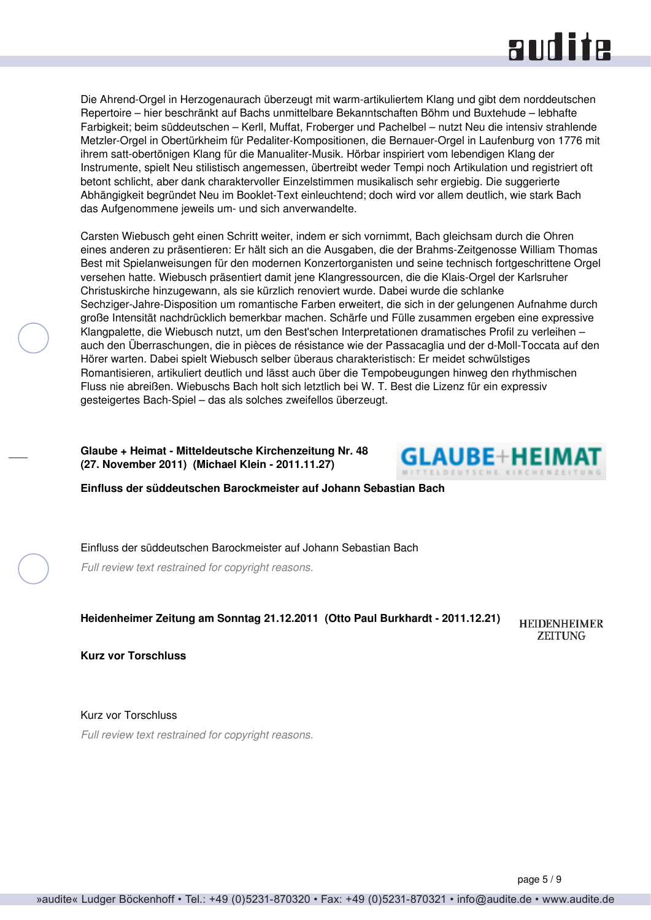# **RUD ite**

<span id="page-4-0"></span>Die Ahrend-Orgel in Herzogenaurach überzeugt mit warm-artikuliertem Klang und gibt dem norddeutschen Repertoire – hier beschränkt auf Bachs unmittelbare Bekanntschaften Böhm und Buxtehude – lebhafte Farbigkeit; beim süddeutschen – Kerll, Muffat, Froberger und Pachelbel – nutzt Neu die intensiv strahlende Metzler-Orgel in Obertürkheim für Pedaliter-Kompositionen, die Bernauer-Orgel in Laufenburg von 1776 mit ihrem satt-obertönigen Klang für die Manualiter-Musik. Hörbar inspiriert vom lebendigen Klang der Instrumente, spielt Neu stilistisch angemessen, übertreibt weder Tempi noch Artikulation und registriert oft betont schlicht, aber dank charaktervoller Einzelstimmen musikalisch sehr ergiebig. Die suggerierte Abhängigkeit begründet Neu im Booklet-Text einleuchtend; doch wird vor allem deutlich, wie stark Bach das Aufgenommene jeweils um- und sich anverwandelte.

Carsten Wiebusch geht einen Schritt weiter, indem er sich vornimmt, Bach gleichsam durch die Ohren eines anderen zu präsentieren: Er hält sich an die Ausgaben, die der Brahms-Zeitgenosse William Thomas Best mit Spielanweisungen für den modernen Konzertorganisten und seine technisch fortgeschrittene Orgel versehen hatte. Wiebusch präsentiert damit jene Klangressourcen, die die Klais-Orgel der Karlsruher Christuskirche hinzugewann, als sie kürzlich renoviert wurde. Dabei wurde die schlanke Sechziger-Jahre-Disposition um romantische Farben erweitert, die sich in der gelungenen Aufnahme durch große Intensität nachdrücklich bemerkbar machen. Schärfe und Fülle zusammen ergeben eine expressive Klangpalette, die Wiebusch nutzt, um den Best'schen Interpretationen dramatisches Profil zu verleihen – auch den Überraschungen, die in pièces de résistance wie der Passacaglia und der d-Moll-Toccata auf den Hörer warten. Dabei spielt Wiebusch selber überaus charakteristisch: Er meidet schwülstiges Romantisieren, artikuliert deutlich und lässt auch über die Tempobeugungen hinweg den rhythmischen Fluss nie abreißen. Wiebuschs Bach holt sich letztlich bei W. T. Best die Lizenz für ein expressiv gesteigertes Bach-Spiel – das als solches zweifellos überzeugt.

**Glaube + Heimat - Mitteldeutsche Kirchenzeitung Nr. 48 (27. November 2011) (Michael Klein - 2011.11.27)**



**Einfluss der süddeutschen Barockmeister auf Johann Sebastian Bach**

Einfluss der süddeutschen Barockmeister auf Johann Sebastian Bach

*Full review text restrained for copyright reasons.*

**Heidenheimer Zeitung am Sonntag 21.12.2011 (Otto Paul Burkhardt - 2011.12.21)**

**HEIDENHEIMER ZEITUNG** 

**Kurz vor Torschluss**

Kurz vor Torschluss *Full review text restrained for copyright reasons.*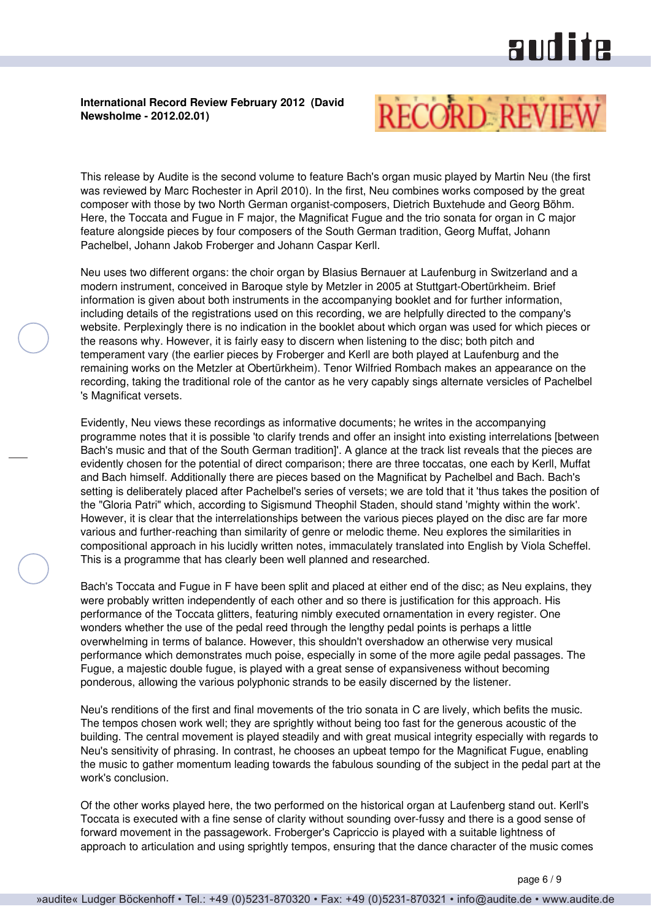# and ite

### <span id="page-5-0"></span>**International Record Review February 2012 (David Newsholme - 2012.02.01)**



This release by Audite is the second volume to feature Bach's organ music played by Martin Neu (the first was reviewed by Marc Rochester in April 2010). In the first, Neu combines works composed by the great composer with those by two North German organist-composers, Dietrich Buxtehude and Georg Böhm. Here, the Toccata and Fugue in F major, the Magnificat Fugue and the trio sonata for organ in C major feature alongside pieces by four composers of the South German tradition, Georg Muffat, Johann Pachelbel, Johann Jakob Froberger and Johann Caspar Kerll.

Neu uses two different organs: the choir organ by Blasius Bernauer at Laufenburg in Switzerland and a modern instrument, conceived in Baroque style by Metzler in 2005 at Stuttgart-Obertürkheim. Brief information is given about both instruments in the accompanying booklet and for further information, including details of the registrations used on this recording, we are helpfully directed to the company's website. Perplexingly there is no indication in the booklet about which organ was used for which pieces or the reasons why. However, it is fairly easy to discern when listening to the disc; both pitch and temperament vary (the earlier pieces by Froberger and Kerll are both played at Laufenburg and the remaining works on the Metzler at Obertürkheim). Tenor Wilfried Rombach makes an appearance on the recording, taking the traditional role of the cantor as he very capably sings alternate versicles of Pachelbel 's Magnificat versets.

Evidently, Neu views these recordings as informative documents; he writes in the accompanying programme notes that it is possible 'to clarify trends and offer an insight into existing interrelations [between Bach's music and that of the South German tradition]'. A glance at the track list reveals that the pieces are evidently chosen for the potential of direct comparison; there are three toccatas, one each by Kerll, Muffat and Bach himself. Additionally there are pieces based on the Magnificat by Pachelbel and Bach. Bach's setting is deliberately placed after Pachelbel's series of versets; we are told that it 'thus takes the position of the "Gloria Patri" which, according to Sigismund Theophil Staden, should stand 'mighty within the work'. However, it is clear that the interrelationships between the various pieces played on the disc are far more various and further-reaching than similarity of genre or melodic theme. Neu explores the similarities in compositional approach in his lucidly written notes, immaculately translated into English by Viola Scheffel. This is a programme that has clearly been well planned and researched.

Bach's Toccata and Fugue in F have been split and placed at either end of the disc; as Neu explains, they were probably written independently of each other and so there is justification for this approach. His performance of the Toccata glitters, featuring nimbly executed ornamentation in every register. One wonders whether the use of the pedal reed through the lengthy pedal points is perhaps a little overwhelming in terms of balance. However, this shouldn't overshadow an otherwise very musical performance which demonstrates much poise, especially in some of the more agile pedal passages. The Fugue, a majestic double fugue, is played with a great sense of expansiveness without becoming ponderous, allowing the various polyphonic strands to be easily discerned by the listener.

Neu's renditions of the first and final movements of the trio sonata in C are lively, which befits the music. The tempos chosen work well; they are sprightly without being too fast for the generous acoustic of the building. The central movement is played steadily and with great musical integrity especially with regards to Neu's sensitivity of phrasing. In contrast, he chooses an upbeat tempo for the Magnificat Fugue, enabling the music to gather momentum leading towards the fabulous sounding of the subject in the pedal part at the work's conclusion.

Of the other works played here, the two performed on the historical organ at Laufenberg stand out. Kerll's Toccata is executed with a fine sense of clarity without sounding over-fussy and there is a good sense of forward movement in the passagework. Froberger's Capriccio is played with a suitable lightness of approach to articulation and using sprightly tempos, ensuring that the dance character of the music comes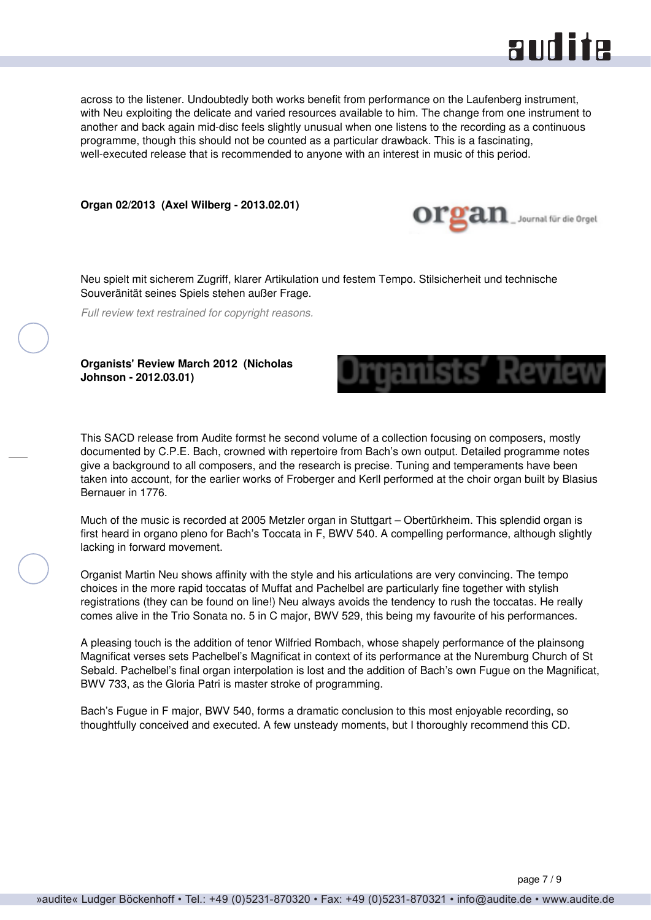

<span id="page-6-0"></span>across to the listener. Undoubtedly both works benefit from performance on the Laufenberg instrument, with Neu exploiting the delicate and varied resources available to him. The change from one instrument to another and back again mid-disc feels slightly unusual when one listens to the recording as a continuous programme, though this should not be counted as a particular drawback. This is a fascinating, well-executed release that is recommended to anyone with an interest in music of this period.

**Organ 02/2013 (Axel Wilberg - 2013.02.01)**



Neu spielt mit sicherem Zugriff, klarer Artikulation und festem Tempo. Stilsicherheit und technische Souveränität seines Spiels stehen außer Frage.

*Full review text restrained for copyright reasons.*

**Organists' Review March 2012 (Nicholas Johnson - 2012.03.01)**



This SACD release from Audite formst he second volume of a collection focusing on composers, mostly documented by C.P.E. Bach, crowned with repertoire from Bach's own output. Detailed programme notes give a background to all composers, and the research is precise. Tuning and temperaments have been taken into account, for the earlier works of Froberger and Kerll performed at the choir organ built by Blasius Bernauer in 1776.

Much of the music is recorded at 2005 Metzler organ in Stuttgart – Obertürkheim. This splendid organ is first heard in organo pleno for Bach's Toccata in F, BWV 540. A compelling performance, although slightly lacking in forward movement.

Organist Martin Neu shows affinity with the style and his articulations are very convincing. The tempo choices in the more rapid toccatas of Muffat and Pachelbel are particularly fine together with stylish registrations (they can be found on line!) Neu always avoids the tendency to rush the toccatas. He really comes alive in the Trio Sonata no. 5 in C major, BWV 529, this being my favourite of his performances.

A pleasing touch is the addition of tenor Wilfried Rombach, whose shapely performance of the plainsong Magnificat verses sets Pachelbel's Magnificat in context of its performance at the Nuremburg Church of St Sebald. Pachelbel's final organ interpolation is lost and the addition of Bach's own Fugue on the Magnificat, BWV 733, as the Gloria Patri is master stroke of programming.

Bach's Fugue in F major, BWV 540, forms a dramatic conclusion to this most enjoyable recording, so thoughtfully conceived and executed. A few unsteady moments, but I thoroughly recommend this CD.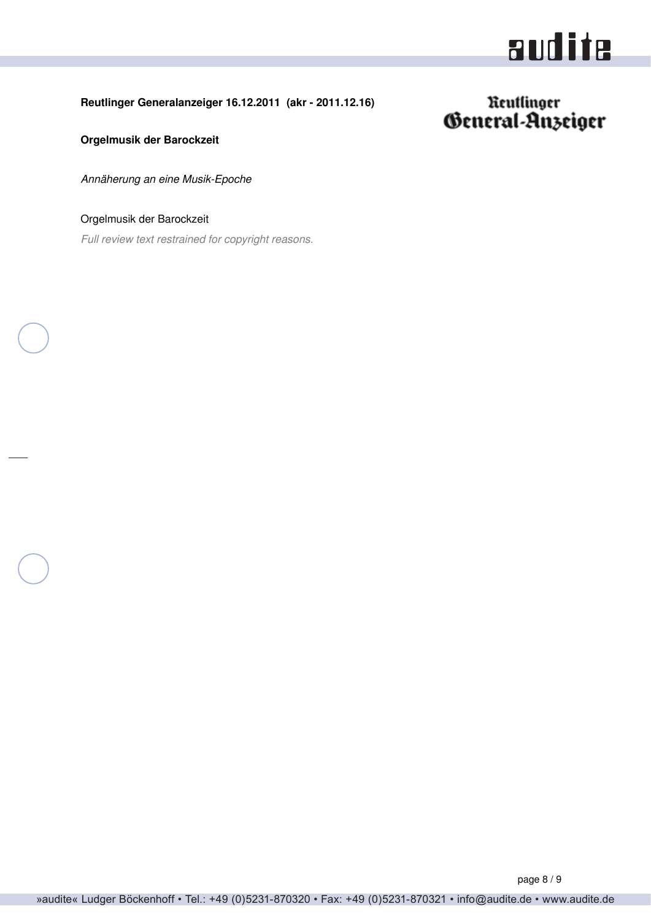# audite

### <span id="page-7-0"></span>**Reutlinger Generalanzeiger 16.12.2011 (akr - 2011.12.16)**

# Reutlinger<br>General-Anzeiger

**Orgelmusik der Barockzeit**

*Annäherung an eine Musik-Epoche*

Orgelmusik der Barockzeit

*Full review text restrained for copyright reasons.*